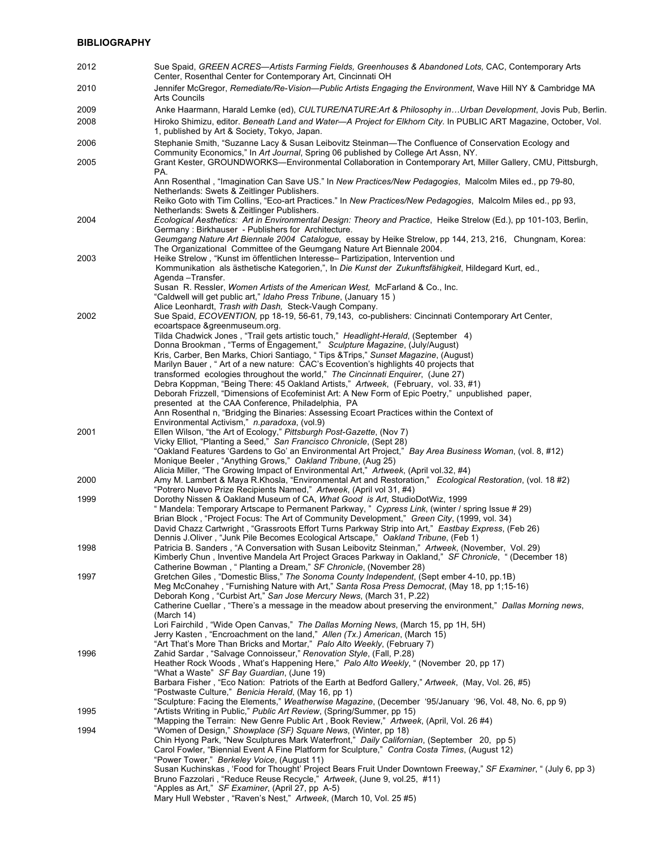| 2012 | Sue Spaid, GREEN ACRES—Artists Farming Fields, Greenhouses & Abandoned Lots, CAC, Contemporary Arts<br>Center, Rosenthal Center for Contemporary Art, Cincinnati OH                                 |
|------|-----------------------------------------------------------------------------------------------------------------------------------------------------------------------------------------------------|
| 2010 | Jennifer McGregor, Remediate/Re-Vision--Public Artists Engaging the Environment, Wave Hill NY & Cambridge MA<br>Arts Councils                                                                       |
| 2009 | Anke Haarmann, Harald Lemke (ed), CULTURE/NATURE:Art & Philosophy inUrban Development, Jovis Pub, Berlin.                                                                                           |
| 2008 | Hiroko Shimizu, editor. Beneath Land and Water-A Project for Elkhorn City. In PUBLIC ART Magazine, October, Vol.<br>1, published by Art & Society, Tokyo, Japan.                                    |
| 2006 | Stephanie Smith, "Suzanne Lacy & Susan Leibovitz Steinman-The Confluence of Conservation Ecology and<br>Community Economics," In Art Journal, Spring 06 published by College Art Assn, NY.          |
| 2005 | Grant Kester, GROUNDWORKS—Environmental Collaboration in Contemporary Art, Miller Gallery, CMU, Pittsburgh,                                                                                         |
|      | PA.<br>Ann Rosenthal, "Imagination Can Save US." In New Practices/New Pedagogies, Malcolm Miles ed., pp 79-80,<br>Netherlands: Swets & Zeitlinger Publishers.                                       |
|      | Reiko Goto with Tim Collins, "Eco-art Practices." In New Practices/New Pedagogies, Malcolm Miles ed., pp 93,<br>Netherlands: Swets & Zeitlinger Publishers.                                         |
| 2004 | Ecological Aesthetics: Art in Environmental Design: Theory and Practice, Heike Strelow (Ed.), pp 101-103, Berlin,<br>Germany: Birkhauser - Publishers for Architecture.                             |
|      | Geumgang Nature Art Biennale 2004 Catalogue, essay by Heike Strelow, pp 144, 213, 216, Chungnam, Korea:<br>The Organizational Committee of the Geumgang Nature Art Biennale 2004.                   |
| 2003 | Heike Strelow, "Kunst im öffentlichen Interesse- Partizipation, Intervention und<br>Kommunikation als ästhetische Kategorien,", In Die Kunst der Zukunftsfähigkeit, Hildegard Kurt, ed.,            |
|      | Agenda - Transfer.<br>Susan R. Ressler, Women Artists of the American West, McFarland & Co., Inc.                                                                                                   |
|      | "Caldwell will get public art," Idaho Press Tribune, (January 15)                                                                                                                                   |
|      | Alice Leonhardt, Trash with Dash, Steck-Vaugh Company.                                                                                                                                              |
| 2002 | Sue Spaid, ECOVENTION, pp 18-19, 56-61, 79, 143, co-publishers: Cincinnati Contemporary Art Center,<br>ecoartspace &greenmuseum.org.                                                                |
|      | Tilda Chadwick Jones, "Trail gets artistic touch," Headlight-Herald, (September 4)                                                                                                                  |
|      | Donna Brookman, "Terms of Engagement," Sculpture Magazine, (July/August)<br>Kris, Carber, Ben Marks, Chiori Santiago, "Tips & Trips," Sunset Magazine, (August)                                     |
|      | Marilyn Bauer, "Art of a new nature: CAC's Ecovention's highlights 40 projects that                                                                                                                 |
|      | transformed ecologies throughout the world," The Cincinnati Enguirer, (June 27)                                                                                                                     |
|      | Debra Koppman, "Being There: 45 Oakland Artists," Artweek, (February, vol. 33, #1)<br>Deborah Frizzell, "Dimensions of Ecofeminist Art: A New Form of Epic Poetry," unpublished paper,              |
|      | presented at the CAA Conference, Philadelphia, PA                                                                                                                                                   |
|      | Ann Rosenthal n, "Bridging the Binaries: Assessing Ecoart Practices within the Context of                                                                                                           |
| 2001 | Environmental Activism," n.paradoxa, (vol.9)<br>Ellen Wilson, "the Art of Ecology," Pittsburgh Post-Gazette, (Nov 7)                                                                                |
|      | Vicky Elliot, "Planting a Seed," San Francisco Chronicle, (Sept 28)                                                                                                                                 |
|      | "Oakland Features 'Gardens to Go' an Environmental Art Project," Bay Area Business Woman, (vol. 8, #12)<br>Monique Beeler, "Anything Grows," Oakland Tribune, (Aug 25)                              |
| 2000 | Alicia Miller, "The Growing Impact of Environmental Art," Artweek, (April vol.32, #4)<br>Amy M. Lambert & Maya R. Khosla, "Environmental Art and Restoration," Ecological Restoration, (vol. 18 #2) |
| 1999 | "Potrero Nuevo Prize Recipients Named," Artweek, (April vol 31, #4)<br>Dorothy Nissen & Oakland Museum of CA, What Good is Art, StudioDotWiz, 1999                                                  |
|      | "Mandela: Temporary Artscape to Permanent Parkway," Cypress Link, (winter / spring Issue # 29)                                                                                                      |
|      | Brian Block, "Project Focus: The Art of Community Development," Green City, (1999, vol. 34)                                                                                                         |
|      | David Chazz Cartwright, "Grassroots Effort Turns Parkway Strip into Art," Eastbay Express, (Feb 26)<br>Dennis J.Oliver, "Junk Pile Becomes Ecological Artscape," Oakland Tribune, (Feb 1)           |
| 1998 | Patricia B. Sanders, "A Conversation with Susan Leibovitz Steinman," Artweek, (November, Vol. 29)                                                                                                   |
|      | Kimberly Chun, Inventive Mandela Art Project Graces Parkway in Oakland," SF Chronicle, " (December 18)<br>Catherine Bowman, "Planting a Dream," SF Chronicle, (November 28)                         |
| 1997 | Gretchen Giles, "Domestic Bliss," The Sonoma County Independent, (Sept ember 4-10, pp.1B)                                                                                                           |
|      | Meg McConahey, "Furnishing Nature with Art," Santa Rosa Press Democrat, (May 18, pp 1;15-16)<br>Deborah Kong, "Curbist Art," San Jose Mercury News, (March 31, P.22)                                |
|      | Catherine Cuellar, "There's a message in the meadow about preserving the environment," Dallas Morning news,                                                                                         |
|      | (March 14)                                                                                                                                                                                          |
|      | Lori Fairchild, "Wide Open Canvas," The Dallas Morning News, (March 15, pp 1H, 5H)<br>Jerry Kasten, "Encroachment on the land," Allen (Tx.) American, (March 15)                                    |
|      | "Art That's More Than Bricks and Mortar," Palo Alto Weekly, (February 7)                                                                                                                            |
| 1996 | Zahid Sardar, "Salvage Connoisseur," Renovation Style, (Fall, P.28)<br>Heather Rock Woods, What's Happening Here," Palo Alto Weekly, "(November 20, pp 17)                                          |
|      | "What a Waste" SF Bay Guardian, (June 19)                                                                                                                                                           |
|      | Barbara Fisher, "Eco Nation: Patriots of the Earth at Bedford Gallery," Artweek, (May, Vol. 26, #5)<br>"Postwaste Culture," Benicia Herald, (May 16, pp 1)                                          |
| 1995 | "Sculpture: Facing the Elements," Weatherwise Magazine, (December '95/January '96, Vol. 48, No. 6, pp 9)<br>"Artists Writing in Public," Public Art Review, (Spring/Summer, pp 15)                  |
|      | "Mapping the Terrain: New Genre Public Art, Book Review," Artweek, (April, Vol. 26 #4)                                                                                                              |
| 1994 | "Women of Design," Showplace (SF) Square News, (Winter, pp 18)<br>Chin Hyong Park, "New Sculptures Mark Waterfront," Daily Californian, (September 20, pp 5)                                        |
|      | Carol Fowler, "Biennial Event A Fine Platform for Sculpture," Contra Costa Times, (August 12)                                                                                                       |
|      | "Power Tower," Berkeley Voice, (August 11)                                                                                                                                                          |
|      | Susan Kuchinskas, 'Food for Thought' Project Bears Fruit Under Downtown Freeway," SF Examiner, " (July 6, pp 3)<br>Bruno Fazzolari, "Reduce Reuse Recycle," Artweek, (June 9, vol.25, #11)          |
|      | "Apples as Art," SF Examiner, (April 27, pp A-5)                                                                                                                                                    |
|      | Mary Hull Webster, "Raven's Nest," Artweek, (March 10, Vol. 25 #5)                                                                                                                                  |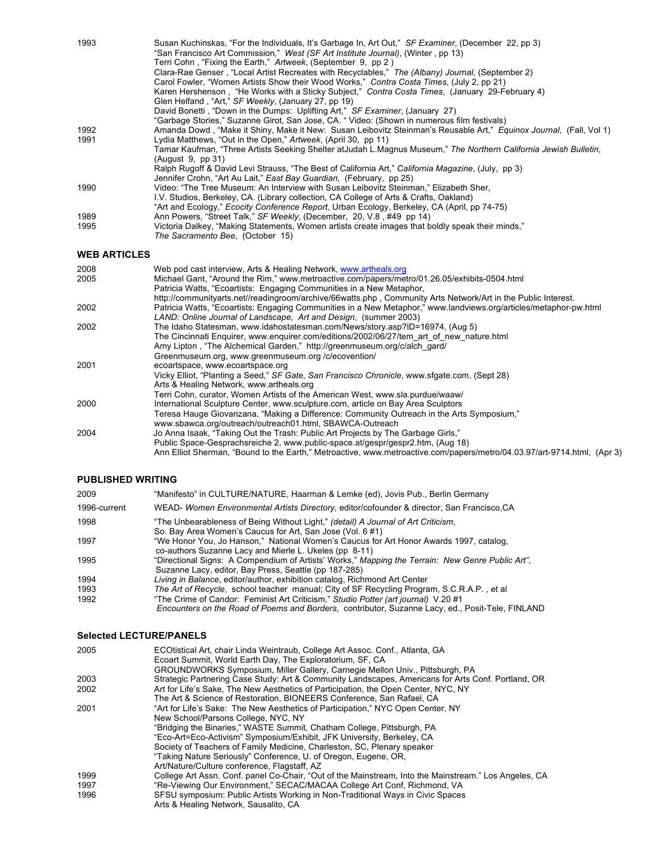| 1993                | Susan Kuchinskas, "For the Individuals, It's Garbage In, Art Out," SF Examiner, (December 22, pp 3)                |  |
|---------------------|--------------------------------------------------------------------------------------------------------------------|--|
|                     | "San Francisco Art Commission," West (SF Art Institute Journal), (Winter, pp 13)                                   |  |
|                     | Terri Cohn, "Fixing the Earth," Artweek, (September 9, pp 2)                                                       |  |
|                     | Clara-Rae Genser, "Local Artist Recreates with Recyclables," The (Albany) Journal, (September 2)                   |  |
|                     | Carol Fowler, "Women Artists Show their Wood Works," Contra Costa Times, (July 2, pp 21)                           |  |
|                     | Karen Hershenson, "He Works with a Sticky Subject," Contra Costa Times, (January 29-February 4)                    |  |
|                     | Glen Helfand, "Art," SF Weekly, (January 27, pp 19)                                                                |  |
|                     | David Bonetti, "Down in the Dumps: Uplifting Art," SF Examiner, (January 27)                                       |  |
|                     | "Garbage Stories," Suzanne Girot, San Jose, CA. " Video: (Shown in numerous film festivals)                        |  |
| 1992                | Amanda Dowd, "Make it Shiny, Make it New: Susan Leibovitz Steinman's Reusable Art," Equinox Journal, (Fall, Vol 1) |  |
| 1991                | Lydia Matthews, "Out in the Open," Artweek, (April 30, pp 11)                                                      |  |
|                     | Tamar Kaufman, "Three Artists Seeking Shelter atJudah L.Magnus Museum," The Northern California Jewish Bulletin,   |  |
|                     | (Auqust 9, pp 31)                                                                                                  |  |
|                     | Ralph Rugoff & David Levi Strauss, "The Best of California Art," California Magazine, (July, pp 3)                 |  |
|                     | Jennifer Crohn, "Art Au Lait," East Bay Guardian, (February, pp 25)                                                |  |
| 1990                | Video: "The Tree Museum: An Interview with Susan Leibovitz Steinman," Elizabeth Sher,                              |  |
|                     | I.V. Studios, Berkeley, CA. (Library collection, CA College of Arts & Crafts, Oakland)                             |  |
|                     | "Art and Ecology," <i>Ecocity Conference Report</i> , Urban Ecology, Berkeley, CA (April, pp 74-75)                |  |
| 1989                | Ann Powers, "Street Talk," SF Weekly, (December, 20, V.8, #49 pp 14)                                               |  |
| 1995                | Victoria Dalkey, "Making Statements, Women artists create images that boldly speak their minds,"                   |  |
|                     | The Sacramento Bee. (October 15)                                                                                   |  |
|                     |                                                                                                                    |  |
| <b>WEB ARTICLES</b> |                                                                                                                    |  |

| 2008 | Web pod cast interview, Arts & Healing Network, www.artheals.org                                                        |
|------|-------------------------------------------------------------------------------------------------------------------------|
| 2005 | Michael Gant, "Around the Rim," www.metroactive.com/papers/metro/01.26.05/exhibits-0504.html                            |
|      | Patricia Watts, "Ecoartists: Engaging Communities in a New Metaphor,                                                    |
|      | http://communityarts.net//readingroom/archive/66watts.php, Community Arts Network/Art in the Public Interest.           |
| 2002 | Patricia Watts, "Ecoartists: Engaging Communities in a New Metaphor," www.landviews.org/articles/metaphor-pw.html       |
|      | LAND: Online Journal of Landscape, Art and Design, (summer 2003)                                                        |
| 2002 | The Idaho Statesman, www.idahostatesman.com/News/story.asp?ID=16974, (Aug 5)                                            |
|      | The Cincinnati Enguirer, www.enguirer.com/editions/2002/06/27/tem art of new nature.html                                |
|      | Amy Lipton, "The Alchemical Garden," http://greenmuseum.org/c/alch_gard/                                                |
|      | Greenmuseum.org, www.greenmuseum.org/c/ecovention/                                                                      |
| 2001 | ecoartspace, www.ecoartspace.org                                                                                        |
|      | Vicky Elliot, "Planting a Seed," SF Gate, San Francisco Chronicle, www.sfgate.com, (Sept 28)                            |
|      | Arts & Healing Network, www.artheals.org                                                                                |
|      | Terri Cohn, curator, Women Artists of the American West, www.sla.purdue/waaw/                                           |
| 2000 | International Sculpture Center, www.sculpture.com, article on Bay Area Sculptors                                        |
|      | Teresa Hauge Giovanzana, "Making a Difference: Community Outreach in the Arts Symposium,"                               |
|      | www.sbawca.org/outreach/outreach01.html, SBAWCA-Outreach                                                                |
| 2004 | Jo Anna Isaak, "Taking Out the Trash: Public Art Projects by The Garbage Girls,"                                        |
|      | Public Space-Gesprachsreiche 2, www.public-space.at/gespr/gespr2.htm, (Aug 18)                                          |
|      | Ann Elliot Sherman, "Bound to the Earth," Metroactive, www.metroactive.com/papers/metro/04.03.97/art-9714.html, (Apr 3) |

## **PUBLISHED WRITING**

| 2009         | "Manifesto" in CULTURE/NATURE, Haarman & Lemke (ed), Jovis Pub., Berlin Germany                                                                                                               |
|--------------|-----------------------------------------------------------------------------------------------------------------------------------------------------------------------------------------------|
| 1996-current | WEAD- Women Environmental Artists Directory, editor/cofounder & director, San Francisco, CA                                                                                                   |
| 1998         | "The Unbearableness of Being Without Light," (detail) A Journal of Art Criticism,<br>So. Bay Area Women's Caucus for Art, San Jose (Vol. 6#1)                                                 |
| 1997         | "We Honor You, Jo Hanson," National Women's Caucus for Art Honor Awards 1997, catalog,<br>co-authors Suzanne Lacy and Mierle L. Ukeles (pp 8-11)                                              |
| 1995         | "Directional Signs: A Compendium of Artists' Works," Mapping the Terrain: New Genre Public Art",<br>Suzanne Lacy, editor, Bay Press, Seattle (pp 187-285)                                     |
| 1994         | Living in Balance, editor/author, exhibition catalog, Richmond Art Center                                                                                                                     |
| 1993         | The Art of Recycle, school teacher manual; City of SF Recycling Program, S.C.R.A.P., et al                                                                                                    |
| 1992         | "The Crime of Candor: Feminist Art Criticism," Studio Potter (art journal) V.20 #1<br><i>Encounters on the Road of Poems and Borders, contributor, Suzanne Lacy, ed., Posit-Tele, FINLAND</i> |

## **Selected LECTURE/PANELS**

| 2005 | ECOtistical Art, chair Linda Weintraub, College Art Assoc. Conf., Atlanta, GA<br>Ecoart Summit, World Earth Day, The Exploratorium, SF, CA |
|------|--------------------------------------------------------------------------------------------------------------------------------------------|
|      | GROUNDWORKS Symposium, Miller Gallery, Carnegie Mellon Univ., Pittsburgh, PA                                                               |
| 2003 | Strategic Partnering Case Study: Art & Community Landscapes, Americans for Arts Conf. Portland, OR                                         |
| 2002 | Art for Life's Sake, The New Aesthetics of Participation, the Open Center, NYC, NY                                                         |
|      | The Art & Science of Restoration, BIONEERS Conference, San Rafael, CA                                                                      |
| 2001 | "Art for Life's Sake: The New Aesthetics of Participation," NYC Open Center, NY                                                            |
|      | New School/Parsons College, NYC, NY                                                                                                        |
|      | "Bridging the Binaries," WASTE Summit, Chatham College, Pittsburgh, PA                                                                     |
|      | "Eco-Art=Eco-Activism" Symposium/Exhibit, JFK University, Berkeley, CA                                                                     |
|      | Society of Teachers of Family Medicine, Charleston, SC, Plenary speaker                                                                    |
|      | "Taking Nature Seriously" Conference, U. of Oregon, Eugene, OR,                                                                            |
|      | Art/Nature/Culture conference, Flagstaff, AZ                                                                                               |
| 1999 | College Art Assn. Conf. panel Co-Chair, "Out of the Mainstream, Into the Mainstream." Los Angeles, CA                                      |
| 1997 | "Re-Viewing Our Environment," SECAC/MACAA College Art Conf, Richmond, VA                                                                   |
| 1996 | SFSU symposium: Public Artists Working in Non-Traditional Ways in Civic Spaces                                                             |
|      | Arts & Healing Network, Sausalito, CA                                                                                                      |